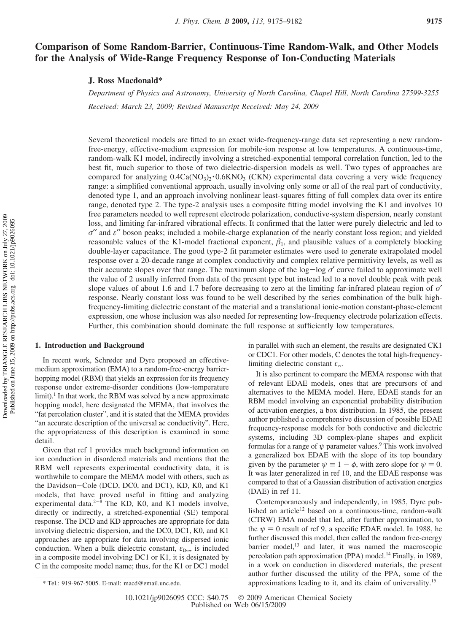# **Comparison of Some Random-Barrier, Continuous-Time Random-Walk, and Other Models for the Analysis of Wide-Range Frequency Response of Ion-Conducting Materials**

## **J. Ross Macdonald\***

*Department of Physics and Astronomy, Uni*V*ersity of North Carolina, Chapel Hill, North Carolina 27599-3255 Recei*V*ed: March 23, 2009; Re*V*ised Manuscript Recei*V*ed: May 24, 2009*

Several theoretical models are fitted to an exact wide-frequency-range data set representing a new randomfree-energy, effective-medium expression for mobile-ion response at low temperatures. A continuous-time, random-walk K1 model, indirectly involving a stretched-exponential temporal correlation function, led to the best fit, much superior to those of two dielectric-dispersion models as well. Two types of approaches are compared for analyzing  $0.4Ca(NO<sub>3</sub>)<sub>2</sub> \cdot 0.6KNO<sub>3</sub>$  (CKN) experimental data covering a very wide frequency range: a simplified conventional approach, usually involving only some or all of the real part of conductivity, denoted type 1, and an approach involving nonlinear least-squares fitting of full complex data over its entire range, denoted type 2. The type-2 analysis uses a composite fitting model involving the K1 and involves 10 free parameters needed to well represent electrode polarization, conductive-system dispersion, nearly constant loss, and limiting far-infrared vibrational effects. It confirmed that the latter were purely dielectric and led to *σ*′′ and *ε*′′ boson peaks; included a mobile-charge explanation of the nearly constant loss region; and yielded reasonable values of the K1-model fractional exponent,  $\beta_1$ , and plausible values of a completely blocking double-layer capacitance. The good type-2 fit parameter estimates were used to generate extrapolated model response over a 20-decade range at complex conductivity and complex relative permittivity levels, as well as their accurate slopes over that range. The maximum slope of the log-log *<sup>σ</sup>*′ curve failed to approximate well the value of 2 usually inferred from data of the present type but instead led to a novel double peak with peak slope values of about 1.6 and 1.7 before decreasing to zero at the limiting far-infrared plateau region of *σ*′ response. Nearly constant loss was found to be well described by the series combination of the bulk highfrequency-limiting dielectric constant of the material and a translational ionic-motion constant-phase-element expression, one whose inclusion was also needed for representing low-frequency electrode polarization effects. Further, this combination should dominate the full response at sufficiently low temperatures.

## **1. Introduction and Background**

In recent work, Schrøder and Dyre proposed an effectivemedium approximation (EMA) to a random-free-energy barrierhopping model (RBM) that yields an expression for its frequency response under extreme-disorder conditions (low-temperature  $limit$ ).<sup>1</sup> In that work, the RBM was solved by a new approximate hopping model, here designated the MEMA, that involves the "fat percolation cluster", and it is stated that the MEMA provides "an accurate description of the universal ac conductivity". Here, the appropriateness of this description is examined in some detail.

Given that ref 1 provides much background information on ion conduction in disordered materials and mentions that the RBM well represents experimental conductivity data, it is worthwhile to compare the MEMA model with others, such as the Davidson-Cole (DCD, DC0, and DC1), KD, K0, and K1 models, that have proved useful in fitting and analyzing experimental data. $2^{-8}$  The KD, K0, and K1 models involve, directly or indirectly, a stretched-exponential (SE) temporal response. The DCD and KD approaches are appropriate for data involving dielectric dispersion, and the DC0, DC1, K0, and K1 approaches are appropriate for data involving dispersed ionic conduction. When a bulk dielectric constant,  $ε_{D∞}$ , is included in a composite model involving DC1 or K1, it is designated by C in the composite model name; thus, for the K1 or DC1 model

in parallel with such an element, the results are designated CK1 or CDC1. For other models, C denotes the total high-frequencylimiting dielectric constant *ε*∞.

It is also pertinent to compare the MEMA response with that of relevant EDAE models, ones that are precursors of and alternatives to the MEMA model. Here, EDAE stands for an RBM model involving an exponential probability distribution of activation energies, a box distribution. In 1985, the present author published a comprehensive discussion of possible EDAE frequency-response models for both conductive and dielectric systems, including 3D complex-plane shapes and explicit formulas for a range of  $\psi$  parameter values.<sup>9</sup> This work involved a generalized box EDAE with the slope of its top boundary given by the parameter  $\psi \equiv 1 - \phi$ , with zero slope for  $\psi = 0$ . It was later generalized in ref 10, and the EDAE response was compared to that of a Gaussian distribution of activation energies (DAE) in ref 11.

Contemporaneously and independently, in 1985, Dyre published an article<sup>12</sup> based on a continuous-time, random-walk (CTRW) EMA model that led, after further approximation, to the  $\psi = 0$  result of ref 9, a specific EDAE model. In 1988, he further discussed this model, then called the random free-energy barrier model,<sup>13</sup> and later, it was named the macroscopic percolation path approximation (PPA) model.<sup>14</sup> Finally, in 1989, in a work on conduction in disordered materials, the present author further discussed the utility of the PPA, some of the approximations leading to it, and its claim of universality.15 \* Tel.: 919-967-5005. E-mail: macd@email.unc.edu.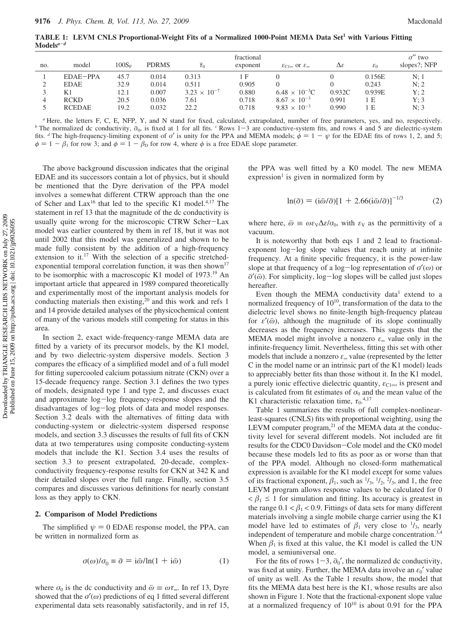**TABLE 1: LEVM CNLS Proportional-Weight Fits of a Normalized 1000-Point MEMA Data Set1 with Various Fitting Models***<sup>a</sup>*-*<sup>d</sup>*

|     |               |          |              |                       | fractional |                                                    |                      |                 | $\sigma^{\prime\prime}$ two |
|-----|---------------|----------|--------------|-----------------------|------------|----------------------------------------------------|----------------------|-----------------|-----------------------------|
| no. | model         | $100S_F$ | <b>PDRMS</b> | $\overline{\tau}_0$   | exponent   | $\mathcal{E}_{C1\infty}$ or $\mathcal{E}_{\infty}$ | $\Delta \varepsilon$ | $\varepsilon_0$ | slopes?; NFP                |
|     | EDAE-PPA      | 45.7     | 0.014        | 0.313                 | ιF         |                                                    |                      | 0.156E          | N:1                         |
|     | <b>EDAE</b>   | 32.9     | 0.014        | 0.511                 | 0.905      |                                                    |                      | 0.243           | N: 2                        |
|     | K1            | 12.1     | 0.007        | $3.23 \times 10^{-7}$ | 0.880      | $6.48 \times 10^{-3}$ C                            | 0.932C               | 0.939E          | Y:2                         |
| 4   | <b>RCKD</b>   | 20.5     | 0.036        | 7.61                  | 0.718      | $8.67 \times 10^{-3}$                              | 0.991                | lΕ              | Y: 3                        |
|     | <b>RCEDAE</b> | 19.2     | 0.032        | 22.2                  | 0.718      | $9.83 \times 10^{-3}$                              | 0.990                | 1 E             | N: 3                        |

*<sup>a</sup>* Here, the letters F, C, E, NFP, Y, and N stand for fixed, calculated, extrapolated, number of free parameters, yes, and no, respectively. *b* The normalized dc conductivity,  $\bar{\sigma}_0$ , is fixed at 1 for all fits. *c* Rows 1-3 are conductive-system fits, and rows 4 and 5 are dielectric-system fits. <sup>*d*</sup> The high-frequency-limiting exponent of *σ'* is unity for the PPA and MEMA models;  $\phi = 1 - \psi$  for the EDAE fits of rows 1, 2, and 5;  $\phi = 1 - \beta_1$  for row 3; and  $\phi = 1 - \beta_0$  for row 4, where  $\phi$  is a free EDAE slope parameter.

The above background discussion indicates that the original EDAE and its successors contain a lot of physics, but it should be mentioned that the Dyre derivation of the PPA model involves a somewhat different CTRW approach than the one of Scher and  $Lax^{16}$  that led to the specific K1 model.<sup>4,17</sup> The statement in ref 13 that the magnitude of the dc conductivity is usually quite wrong for the microscopic CTRW Scher-Lax model was earlier countered by them in ref 18, but it was not until 2002 that this model was generalized and shown to be made fully consistent by the addition of a high-frequency extension to it.<sup>17</sup> With the selection of a specific stretchedexponential temporal correlation function, it was then shown<sup>17</sup> to be isomorphic with a macroscopic K1 model of 1973.19 An important article that appeared in 1989 compared theoretically and experimentally most of the important analysis models for conducting materials then existing,<sup>20</sup> and this work and refs 1 and 14 provide detailed analyses of the physicochemical content of many of the various models still competing for status in this area.

In section 2, exact wide-frequency-range MEMA data are fitted by a variety of its precursor models, by the K1 model, and by two dielectric-system dispersive models. Section 3 compares the efficacy of a simplified model and of a full model for fitting supercooled calcium potassium nitrate (CKN) over a 15-decade frequency range. Section 3.1 defines the two types of models, designated type 1 and type 2, and discusses exact and approximate log-log frequency-response slopes and the disadvantages of log-log plots of data and model responses. Section 3.2 deals with the alternatives of fitting data with conducting-system or dielectric-system dispersed response models, and section 3.3 discusses the results of full fits of CKN data at two temperatures using composite conducting-system models that include the K1. Section 3.4 uses the results of section 3.3 to present extrapolated, 20-decade, complexconductivity frequency-response results for CKN at 342 K and their detailed slopes over the full range. Finally, section 3.5 compares and discusses various definitions for nearly constant loss as they apply to CKN.

#### **2. Comparison of Model Predictions**

The simplified  $\psi = 0$  EDAE response model, the PPA, can be written in normalized form as

$$
\sigma(\omega)/\sigma_0 \equiv \bar{\sigma} = i\bar{\omega}/\ln(1 + i\bar{\omega})\tag{1}
$$

where  $\sigma_0$  is the dc conductivity and  $\bar{\omega} \equiv \omega \tau_{\infty}$ . In ref 13, Dyre showed that the  $\sigma'(\omega)$  predictions of eq 1 fitted several different experimental data sets reasonably satisfactorily, and in ref 15, the PPA was well fitted by a K0 model. The new MEMA  $expression<sup>1</sup>$  is given in normalized form by

$$
\ln(\bar{\sigma}) = (i\bar{\omega}/\bar{\sigma})[1 + 2.66(i\bar{\omega}/\bar{\sigma})]^{-1/3}
$$
 (2)

where here,  $\bar{\omega} \equiv \omega \varepsilon \sqrt{\Delta \varepsilon / \sigma_0}$ , with  $\varepsilon_V$  as the permittivity of a vacuum.

It is noteworthy that both eqs 1 and 2 lead to fractionalexponent log-log slope values that reach unity at infinite frequency. At a finite specific frequency, it is the power-law slope at that frequency of a log-log representation of *<sup>σ</sup>*′(*ω*) or *σ*'( $\bar{\omega}$ ). For simplicity, log-log slopes will be called just slopes hereafter.

Even though the MEMA conductivity data<sup>1</sup> extend to a normalized frequency of  $10^{10}$ , transformation of the data to the dielectric level shows no finite-length high-frequency plateau for  $\varepsilon'(\bar{\omega})$ , although the magnitude of its slope continually decreases as the frequency increases. This suggests that the MEMA model might involve a nonzero *ε*<sup>∞</sup> value only in the infinite-frequency limit. Nevertheless, fitting this set with other models that include a nonzero *ε*<sup>∞</sup> value (represented by the letter C in the model name or an intrinsic part of the K1 model) leads to appreciably better fits than those without it. In the K1 model, a purely ionic effective dielectric quantity,  $\varepsilon_{C1\infty}$ , is present and is calculated from fit estimates of  $\sigma_0$  and the mean value of the K1 characteristic relaxation time,  $\tau_0$ <sup>4,17</sup>

Table 1 summarizes the results of full complex-nonlinearleast-squares (CNLS) fits with proportional weighting, using the  $LEVM$  computer program, $21$  of the MEMA data at the conductivity level for several different models. Not included are fit results for the CDC0 Davidson-Cole model and the CK0 model because these models led to fits as poor as or worse than that of the PPA model. Although no closed-form mathematical expression is available for the K1 model except for some values of its fractional exponent,  $\beta_1$ , such as  $\frac{1}{3}$ ,  $\frac{1}{2}$ ,  $\frac{2}{3}$ , and 1, the free LEVM program allows response values to be calculated for 0  $\langle \beta_1 \leq 1$  for simulation and fitting. Its accuracy is greatest in the range  $0.1 < \beta_1 < 0.9$ . Fittings of data sets for many different materials involving a single mobile charge carrier using the K1 model have led to estimates of  $\beta_1$  very close to  $\frac{1}{3}$ , nearly independent of temperature and mobile charge concentration.<sup>3,4</sup> When  $\beta_1$  is fixed at this value, the K1 model is called the UN model, a semiuniversal one.

For the fits of rows  $1-3$ ,  $\bar{\sigma}_0'$ , the normalized dc conductivity, was fixed at unity. Further, the MEMA data involve an  $\varepsilon_0'$  value of unity as well. As the Table 1 results show, the model that fits the MEMA data best here is the K1, whose results are also shown in Figure 1. Note that the fractional-exponent slope value at a normalized frequency of  $10^{10}$  is about 0.91 for the PPA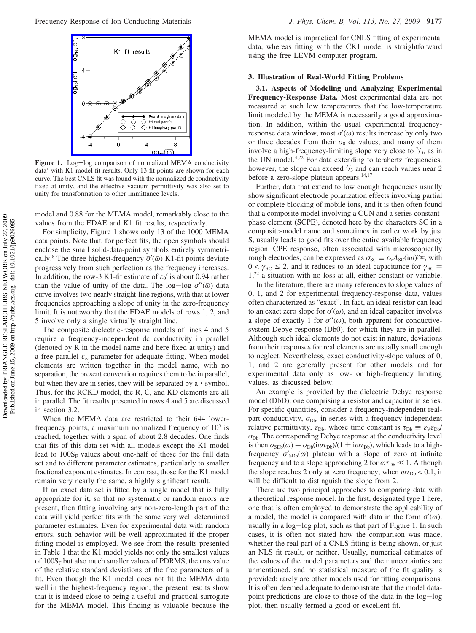

**Figure 1.** Log-log comparison of normalized MEMA conductivity  $data<sup>1</sup>$  with K1 model fit results. Only 13 fit points are shown for each curve. The best CNLS fit was found with the normalized dc conductivity fixed at unity, and the effective vacuum permittivity was also set to unity for transformation to other immittance levels.

model and 0.88 for the MEMA model, remarkably close to the values from the EDAE and K1 fit results, respectively.

For simplicity, Figure 1 shows only 13 of the 1000 MEMA data points. Note that, for perfect fits, the open symbols should enclose the small solid-data-point symbols entirely symmetrically.<sup>8</sup> The three highest-frequency  $\bar{\sigma}'(\bar{\omega})$  K1-fit points deviate progressively from such perfection as the frequency increases. In addition, the row-3 K1-fit estimate of  $\varepsilon_0'$  is about 0.94 rather than the value of unity of the data. The log-log *<sup>σ</sup>*′′(*ω*j ) data curve involves two nearly straight-line regions, with that at lower frequencies approaching a slope of unity in the zero-frequency limit. It is noteworthy that the EDAE models of rows 1, 2, and 5 involve only a single virtually straight line.

The composite dielectric-response models of lines 4 and 5 require a frequency-independent dc conductivity in parallel (denoted by R in the model name and here fixed at unity) and a free parallel *ε*<sup>∞</sup> parameter for adequate fitting. When model elements are written together in the model name, with no separation, the present convention requires them to be in parallel, but when they are in series, they will be separated by a  $\cdot$  symbol. Thus, for the RCKD model, the R, C, and KD elements are all in parallel. The fit results presented in rows 4 and 5 are discussed in section 3.2.

When the MEMA data are restricted to their 644 lowerfrequency points, a maximum normalized frequency of  $10<sup>5</sup>$  is reached, together with a span of about 2.8 decades. One finds that fits of this data set with all models except the K1 model lead to  $100S_F$  values about one-half of those for the full data set and to different parameter estimates, particularly to smaller fractional exponent estimates. In contrast, those for the K1 model remain very nearly the same, a highly significant result.

If an exact data set is fitted by a single model that is fully appropriate for it, so that no systematic or random errors are present, then fitting involving any non-zero-length part of the data will yield perfect fits with the same very well determined parameter estimates. Even for experimental data with random errors, such behavior will be well approximated if the proper fitting model is employed. We see from the results presented in Table 1 that the K1 model yields not only the smallest values of  $100S<sub>F</sub>$  but also much smaller values of PDRMS, the rms value of the relative standard deviations of the free parameters of a fit. Even though the K1 model does not fit the MEMA data well in the highest-frequency region, the present results show that it is indeed close to being a useful and practical surrogate for the MEMA model. This finding is valuable because the

MEMA model is impractical for CNLS fitting of experimental data, whereas fitting with the CK1 model is straightforward using the free LEVM computer program.

## **3. Illustration of Real-World Fitting Problems**

**3.1. Aspects of Modeling and Analyzing Experimental Frequency-Response Data.** Most experimental data are not measured at such low temperatures that the low-temperature limit modeled by the MEMA is necessarily a good approximation. In addition, within the usual experimental frequencyresponse data window, most *σ*′(*ω*) results increase by only two or three decades from their  $\sigma_0$  dc values, and many of them involve a high-frequency-limiting slope very close to  $\frac{2}{3}$ , as in the UN model.<sup>4,22</sup> For data extending to terahertz frequencies, however, the slope can exceed  $\frac{2}{3}$  and can reach values near 2 before a zero-slope plateau appears.<sup>14,17</sup>

Further, data that extend to low enough frequencies usually show significant electrode polarization effects involving partial or complete blocking of mobile ions, and it is then often found that a composite model involving a CUN and a series constantphase element (SCPE), denoted here by the characters SC in a composite-model name and sometimes in earlier work by just S, usually leads to good fits over the entire available frequency region. CPE response, often associated with microscopically rough electrodes, can be expressed as  $\sigma_{SC} \equiv \varepsilon_{V}A_{SC}(i\omega)^{\gamma_{SC}}$ , with  $0 < \gamma_{SC} \le 2$ , and it reduces to an ideal capacitance for  $\gamma_{SC} =$ 1,22 a situation with no loss at all, either constant or variable.

In the literature, there are many references to slope values of 0, 1, and 2 for experimental frequency-response data, values often characterized as "exact". In fact, an ideal resistor can lead to an exact zero slope for  $\sigma'(\omega)$ , and an ideal capacitor involves a slope of exactly 1 for  $\sigma''(\omega)$ , both apparent for conductivesystem Debye response (Db0), for which they are in parallel. Although such ideal elements do not exist in nature, deviations from their responses for real elements are usually small enough to neglect. Nevertheless, exact conductivity-slope values of 0, 1, and 2 are generally present for other models and for experimental data only as low- or high-frequency limiting values, as discussed below.

An example is provided by the dielectric Debye response model (DbD), one comprising a resistor and capacitor in series. For specific quantities, consider a frequency-independent realpart conductivity,  $σ<sub>Db</sub>$ , in series with a frequency-independent relative permittivity,  $\varepsilon_{\text{Db}}$ , whose time constant is  $\tau_{\text{Db}} \equiv \varepsilon_{\text{V}} \varepsilon_{\text{Db}}$  $\sigma_{\text{Db}}$ . The corresponding Debye response at the conductivity level is then  $\sigma_{SDb}(\omega) = \sigma_{Db}(i\omega\tau_{Db})/(1 + i\omega\tau_{Db})$ , which leads to a highfrequency  $\sigma'_{SDb}(\omega)$  plateau with a slope of zero at infinite frequency and to a slope approaching 2 for  $\omega \tau_{\text{Db}} \ll 1$ . Although the slope reaches 2 only at zero frequency, when  $\omega \tau_{\text{Db}} < 0.1$ , it will be difficult to distinguish the slope from 2.

There are two principal approaches to comparing data with a theoretical response model. In the first, designated type 1 here, one that is often employed to demonstrate the applicability of a model, the model is compared with data in the form  $\sigma'(\omega)$ , usually in a log-log plot, such as that part of Figure 1. In such cases, it is often not stated how the comparison was made, whether the real part of a CNLS fitting is being shown, or just an NLS fit result, or neither. Usually, numerical estimates of the values of the model parameters and their uncertainties are unmentioned, and no statistical measure of the fit quality is provided; rarely are other models used for fitting comparisons. It is often deemed adequate to demonstrate that the model datapoint predictions are close to those of the data in the log-log plot, then usually termed a good or excellent fit.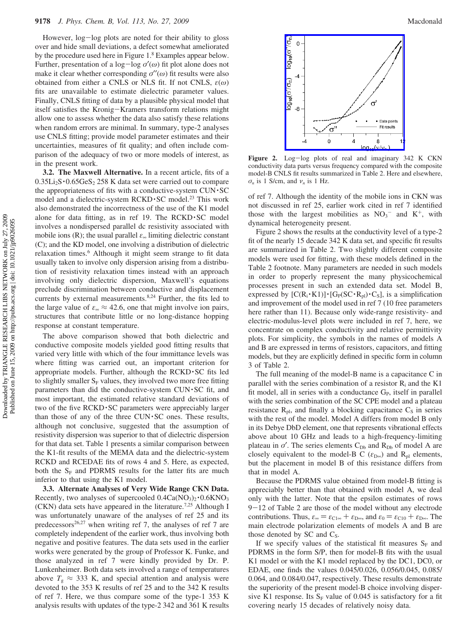However, log-log plots are noted for their ability to gloss over and hide small deviations, a defect somewhat ameliorated by the procedure used here in Figure 1.8 Examples appear below. Further, presentation of a log-log *<sup>σ</sup>*′(*ω*) fit plot alone does not make it clear whether corresponding *σ*′′(*ω*) fit results were also obtained from either a CNLS or NLS fit. If not CNLS, *ε*(*ω*) fits are unavailable to estimate dielectric parameter values. Finally, CNLS fitting of data by a plausible physical model that itself satisfies the Kronig-Kramers transform relations might allow one to assess whether the data also satisfy these relations when random errors are minimal. In summary, type-2 analyses use CNLS fitting; provide model parameter estimates and their uncertainties, measures of fit quality; and often include comparison of the adequacy of two or more models of interest, as in the present work.

**3.2. The Maxwell Alternative.** In a recent article, fits of a  $0.35Li<sub>2</sub>S \cdot 0.65GeS<sub>2</sub> 258 K$  data set were carried out to compare the appropriateness of fits with a conductive-system CUN·SC model and a dielectric-system RCKD · SC model.<sup>23</sup> This work also demonstrated the incorrectness of the use of the K1 model alone for data fitting, as in ref 19. The  $RCKD \cdot SC$  model involves a nondispersed parallel dc resistivity associated with mobile ions (R); the usual parallel  $\varepsilon_{\infty}$  limiting dielectric constant (C); and the KD model, one involving a distribution of dielectric relaxation times.<sup>6</sup> Although it might seem strange to fit data usually taken to involve only dispersion arising from a distribution of resistivity relaxation times instead with an approach involving only dielectric dispersion, Maxwell's equations preclude discrimination between conductive and displacement currents by external measurements.<sup>8,24</sup> Further, the fits led to the large value of  $\varepsilon_{\infty} \approx 42.6$ , one that might involve ion pairs, structures that contribute little or no long-distance hopping response at constant temperature.

The above comparison showed that both dielectric and conductive composite models yielded good fitting results that varied very little with which of the four immittance levels was where fitting was carried out, an important criterion for appropriate models. Further, although the  $RCKD \cdot SC$  fits led to slightly smaller  $S_F$  values, they involved two more free fitting parameters than did the conductive-system CUN · SC fit, and most important, the estimated relative standard deviations of two of the five RCKD · SC parameters were appreciably larger than those of any of the three  $CUN \cdot SC$  ones. These results, although not conclusive, suggested that the assumption of resistivity dispersion was superior to that of dielectric dispersion for that data set. Table 1 presents a similar comparison between the K1-fit results of the MEMA data and the dielectric-system RCKD and RCEDAE fits of rows 4 and 5. Here, as expected, both the  $S_F$  and PDRMS results for the latter fits are much inferior to that using the K1 model.

**3.3. Alternate Analyses of Very Wide Range CKN Data.** Recently, two analyses of supercooled  $0.4Ca(NO<sub>3</sub>)<sub>2</sub> \cdot 0.6KNO<sub>3</sub>$ (CKN) data sets have appeared in the literature.7,25 Although I was unfortunately unaware of the analyses of ref 25 and its predecessors<sup>26,27</sup> when writing ref 7, the analyses of ref 7 are completely independent of the earlier work, thus involving both negative and positive features. The data sets used in the earlier works were generated by the group of Professor K. Funke, and those analyzed in ref 7 were kindly provided by Dr. P. Lunkenheimer. Both data sets involved a range of temperatures above  $T_g \approx 333$  K, and special attention and analysis were devoted to the 353 K results of ref 25 and to the 342 K results of ref 7. Here, we thus compare some of the type-1 353 K analysis results with updates of the type-2 342 and 361 K results



Figure 2. Log-log plots of real and imaginary 342 K CKN conductivity data parts versus frequency compared with the composite model-B CNLS fit results summarized in Table 2. Here and elsewhere, *σ<sup>n</sup>* is 1 S/cm, and *ν<sup>n</sup>* is 1 Hz.

of ref 7. Although the identity of the mobile ions in CKN was not discussed in ref 25, earlier work cited in ref 7 identified those with the largest mobilities as  $NO_3^-$  and  $K^+$ , with dynamical heterogeneity present.

Figure 2 shows the results at the conductivity level of a type-2 fit of the nearly 15 decade 342 K data set, and specific fit results are summarized in Table 2. Two slightly different composite models were used for fitting, with these models defined in the Table 2 footnote. Many parameters are needed in such models in order to properly represent the many physicochemical processes present in such an extended data set. Model B, expressed by  $[C(R_i \cdot K1)] \cdot [G_p(SC \cdot R_{pl}) \cdot C_s]$ , is a simplification and improvement of the model used in ref 7 (10 free parameters here rather than 11). Because only wide-range resistivity- and electric-modulus-level plots were included in ref 7, here, we concentrate on complex conductivity and relative permittivity plots. For simplicity, the symbols in the names of models A and B are expressed in terms of resistors, capacitors, and fitting models, but they are explicitly defined in specific form in column 3 of Table 2.

The full meaning of the model-B name is a capacitance C in parallel with the series combination of a resistor  $R_i$  and the K1 fit model, all in series with a conductance  $G<sub>P</sub>$ , itself in parallel with the series combination of the SC CPE model and a plateau resistance  $R_{\text{pl}}$ , and finally a blocking capacitance  $C_{\text{S}}$  in series with the rest of the model. Model A differs from model B only in its Debye DbD element, one that represents vibrational effects above about 10 GHz and leads to a high-frequency-limiting plateau in  $\sigma'$ . The series elements C<sub>Db</sub> and R<sub>Db</sub> of model A are closely equivalent to the model-B C ( $\varepsilon_{D\infty}$ ) and R<sub>pl</sub> elements, but the placement in model B of this resistance differs from that in model A.

Because the PDRMS value obtained from model-B fitting is appreciably better than that obtained with model A, we deal only with the latter. Note that the epsilon estimates of rows  $9-12$  of Table 2 are those of the model without any electrode contributions. Thus,  $\varepsilon_{\infty} = \varepsilon_{C1\infty} + \varepsilon_{D\infty}$ , and  $\varepsilon_0 = \varepsilon_{C10} + \varepsilon_{D\infty}$ . The main electrode polarization elements of models A and B are those denoted by  $SC$  and  $C_S$ .

If we specify values of the statistical fit measures  $S_F$  and PDRMS in the form S/P, then for model-B fits with the usual K1 model or with the K1 model replaced by the DC1, DC0, or EDAE, one finds the values 0.045/0.026, 0.056/0.045, 0.085/ 0.064, and 0.084/0.047, respectively. These results demonstrate the superiority of the present model-B choice involving dispersive K1 response. Its  $S_F$  value of 0.045 is satisfactory for a fit covering nearly 15 decades of relatively noisy data.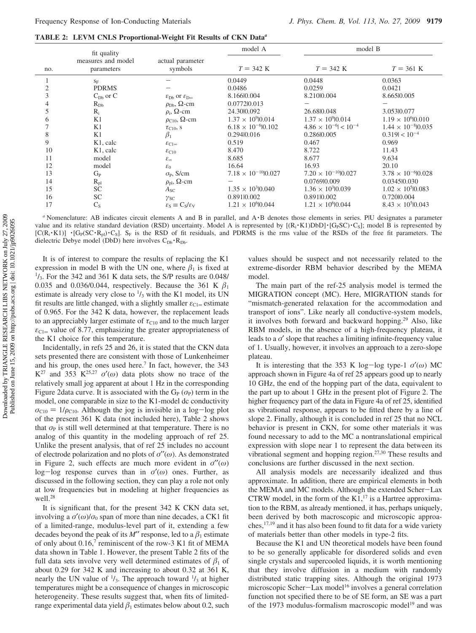**TABLE 2: LEVM CNLS Proportional-Weight Fit Results of CKN Data***<sup>a</sup>*

|     | fit quality           |                                                            | model A                       | model B                         |                              |  |
|-----|-----------------------|------------------------------------------------------------|-------------------------------|---------------------------------|------------------------------|--|
|     | measures and model    | actual parameter                                           |                               |                                 |                              |  |
| no. | parameters            | symbols                                                    | $T = 342 \text{ K}$           | $T = 342 \text{ K}$             | $T = 361 \text{ K}$          |  |
|     | $S_F$                 |                                                            | 0.0449                        | 0.0448                          | 0.0363                       |  |
|     | <b>PDRMS</b>          |                                                            | 0.0486                        | 0.0259                          | 0.0421                       |  |
| 3   | $C_{Db}$ or $C$       | $\varepsilon_{\text{Db}}$ or $\varepsilon_{\text{Do}}$     | 8.1660.004                    | 8.210 0.004                     | 8.66510.005                  |  |
|     | $R_{Db}$              | $\rho_{\text{Db}}$ , $\Omega$ -cm                          | 0.07720.013                   |                                 |                              |  |
| 5   | $R_i$                 | $\rho_i$ , $\Omega$ -cm                                    | 24.3010.092                   | 26.6810.048                     | 3.05310.077                  |  |
| 6   | K1                    | $\rho_{C10}$ , $\Omega$ -cm                                | $1.37 \times 10^9$   0.014    | $1.37 \times 10^{9}$  0.014     | $1.19 \times 10^{6} 0.010$   |  |
|     | K1                    | $\tau_{C10}$ , S                                           | $6.18 \times 10^{-6}$  0.102  | $4.86 \times 10^{-6} < 10^{-4}$ | $1.44 \times 10^{-8}$  0.035 |  |
| 8   | K1                    | $\beta_1$                                                  | 0.294 0.016                   | 0.28610.005                     | $0.319 < 10^{-4}$            |  |
| 9   | K <sub>1</sub> , calc | $\varepsilon_{C1\infty}$                                   | 0.519                         | 0.467                           | 0.969                        |  |
| 10  | K <sub>1</sub> , calc | $\varepsilon_{C10}$                                        | 8.470                         | 8.722                           | 11.43                        |  |
| 11  | model                 | $\mathcal{E}_{\infty}$                                     | 8.685                         | 8.677                           | 9.634                        |  |
| 12  | model                 | $\varepsilon_0$                                            | 16.64                         | 16.93                           | 20.10                        |  |
| 13  | $G_{P}$               | $\sigma_{\rm P}$ , S/cm                                    | $7.18 \times 10^{-10}$  0.027 | $7.20 \times 10^{-10}$ 0.027    | $3.78 \times 10^{-6}$  0.028 |  |
| 14  | $R_{pl}$              | $\rho_{\rm pl}$ , $\Omega$ -cm                             |                               | 0.076910.009                    | 0.034510.030                 |  |
| 15  | <b>SC</b>             | $A_{\rm SC}$                                               | $1.35 \times 10^{3}   0.040$  | $1.36 \times 10^{3}   0.039$    | $1.02 \times 10^5$   0.083   |  |
| 16  | <b>SC</b>             | $\gamma_{SC}$                                              | 0.891 0.002                   | 0.891 0.002                     | 0.72010.004                  |  |
| 17  | $C_{S}$               | $\varepsilon_{\rm S} \equiv C_{\rm S}/\varepsilon_{\rm V}$ | $1.21 \times 10^{6}$  0.044   | $1.21 \times 10^{6}$ 0.044      | $8.43 \times 10^5$   0.043   |  |

*a* Nomenclature: AB indicates circuit elements A and B in parallel, and A ·B denotes those elements in series. PlU designates a parameter value and its relative standard deviation (RSD) uncertainty. Model A is represented by  $[(R_i \cdot K1)DbD] \cdot [G_PSC) \cdot C_S]$ ; model B is represented by  $[{\bf C}({\bf R_i \cdot K1})] \cdot [{\bf G}_P({\bf S}{\bf C} \cdot {\bf R}_p) \cdot {\bf C}_S]$ .  $S_F$  is the RSD of fit residuals, and PDRMS is the rms value of the RSDs of the free fit parameters. The dielectric Debye model (DbD) here involves  $C_{Db} \cdot R_{Db}$ .

It is of interest to compare the results of replacing the K1 expression in model B with the UN one, where  $\beta_1$  is fixed at  $\frac{1}{3}$ . For the 342 and 361 K data sets, the S/P results are 0.048/ 0.035 and 0.036/0.044, respectively. Because the 361 K  $\beta_1$ estimate is already very close to  $\frac{1}{3}$  with the K1 model, its UN fit results are little changed, with a slightly smaller  $\varepsilon_{C1}$ <sup>∞</sup> estimate of 0.965. For the 342 K data, however, the replacement leads to an appreciably larger estimate of  $\tau_{C10}$  and to the much larger  $\varepsilon_{C1}$ <sup>o</sup> value of 8.77, emphasizing the greater appropriateness of the K1 choice for this temperature.

Incidentally, in refs 25 and 26, it is stated that the CKN data sets presented there are consistent with those of Lunkenheimer and his group, the ones used here.<sup>7</sup> In fact, however, the 343 K<sup>27</sup> and 353 K<sup>25,27</sup>  $\sigma'(\omega)$  data plots show no trace of the relatively small jog apparent at about 1 Hz in the corresponding Figure 2data curve. It is associated with the  $G_P(\sigma_P)$  term in the model, one comparable in size to the K1-model dc conductivity  $\sigma_{C10} = 1/\rho_{C10}$ . Although the jog is invisible in a log-log plot of the present 361 K data (not included here), Table 2 shows that  $\sigma_{\rm P}$  is still well determined at that temperature. There is no analog of this quantity in the modeling approach of ref 25. Unlike the present analysis, that of ref 25 includes no account of electrode polarization and no plots of *σ*′′(*ω*). As demonstrated in Figure 2, such effects are much more evident in *σ*′′(*ω*) log-log response curves than in *<sup>σ</sup>*′(*ω*) ones. Further, as discussed in the following section, they can play a role not only at low frequencies but in modeling at higher frequencies as well.<sup>28</sup>

It is significant that, for the present 342 K CKN data set, involving a  $\sigma'(\omega)/\sigma_0$  span of more than nine decades, a CK1 fit of a limited-range, modulus-level part of it, extending a few decades beyond the peak of its  $M''$  response, led to a  $\beta_1$  estimate of only about  $0.16$ ,<sup>7</sup> reminiscent of the row-3 K1 fit of MEMA data shown in Table 1. However, the present Table 2 fits of the full data sets involve very well determined estimates of  $\beta_1$  of about 0.29 for 342 K and increasing to about 0.32 at 361 K, nearly the UN value of  $\frac{1}{3}$ . The approach toward  $\frac{1}{3}$  at higher temperatures might be a consequence of changes in microscopic heterogeneity. These results suggest that, when fits of limitedrange experimental data yield  $\beta_1$  estimates below about 0.2, such values should be suspect and not necessarily related to the extreme-disorder RBM behavior described by the MEMA model.

The main part of the ref-25 analysis model is termed the MIGRATION concept (MC). Here, MIGRATION stands for "mismatch-generated relaxation for the accommodation and transport of ions". Like nearly all conductive-system models, it involves both forward and backward hopping.29 Also, like RBM models, in the absence of a high-frequency plateau, it leads to a *σ*′ slope that reaches a limiting infinite-frequency value of 1. Usually, however, it involves an approach to a zero-slope plateau.

It is interesting that the 353 K log-log type-1  $\sigma'(\omega)$  MC approach shown in Figure 4a of ref 25 appears good up to nearly 10 GHz, the end of the hopping part of the data, equivalent to the part up to about 1 GHz in the present plot of Figure 2. The higher frequency part of the data in Figure 4a of ref 25, identified as vibrational response, appears to be fitted there by a line of slope 2. Finally, although it is concluded in ref 25 that no NCL behavior is present in CKN, for some other materials it was found necessary to add to the MC a nontranslational empirical expression with slope near 1 to represent the data between its vibrational segment and hopping region.27,30 These results and conclusions are further discussed in the next section.

All analysis models are necessarily idealized and thus approximate. In addition, there are empirical elements in both the MEMA and MC models. Although the extended Scher-Lax CTRW model, in the form of the  $K1$ ,<sup>17</sup> is a Hartree approximation to the RBM, as already mentioned, it has, perhaps uniquely, been derived by both macroscopic and microscopic approaches,17,19 and it has also been found to fit data for a wide variety of materials better than other models in type-2 fits.

Because the K1 and UN theoretical models have been found to be so generally applicable for disordered solids and even single crystals and supercooled liquids, it is worth mentioning that they involve diffusion in a medium with randomly distributed static trapping sites. Although the original 1973 microscopic Scher-Lax model<sup>16</sup> involves a general correlation function not specified there to be of SE form, an SE was a part of the 1973 modulus-formalism macroscopic model<sup>19</sup> and was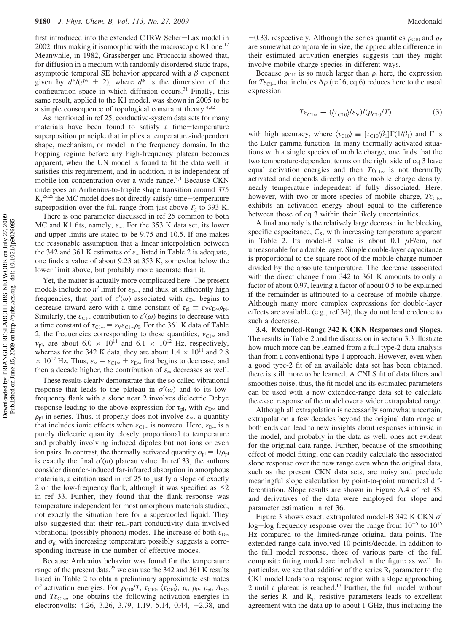first introduced into the extended CTRW Scher-Lax model in 2002, thus making it isomorphic with the macroscopic K1 one.<sup>17</sup> Meanwhile, in 1982, Grassberger and Procaccia showed that, for diffusion in a medium with randomly disordered static traps, asymptotic temporal SE behavior appeared with a  $\beta$  exponent given by  $d^*/(d^* + 2)$ , where  $d^*$  is the dimension of the configuration space in which diffusion occurs.<sup>31</sup> Finally, this same result, applied to the K1 model, was shown in 2005 to be a simple consequence of topological constraint theory.4,32

As mentioned in ref 25, conductive-system data sets for many materials have been found to satisfy a time-temperature superposition principle that implies a temperature-independent shape, mechanism, or model in the frequency domain. In the hopping regime before any high-frequency plateau becomes apparent, when the UN model is found to fit the data well, it satisfies this requirement, and in addition, it is independent of mobile-ion concentration over a wide range.<sup>3,4</sup> Because CKN undergoes an Arrhenius-to-fragile shape transition around 375 K,<sup>25,26</sup> the MC model does not directly satisfy time-temperature superposition over the full range from just above  $T<sub>g</sub>$  to 393 K.

There is one parameter discussed in ref 25 common to both MC and K1 fits, namely, *ε*∞. For the 353 K data set, its lower and upper limits are stated to be 9.75 and 10.5. If one makes the reasonable assumption that a linear interpolation between the 342 and 361 K estimates of *ε*<sup>∞</sup> listed in Table 2 is adequate, one finds a value of about 9.23 at 353 K, somewhat below the lower limit above, but probably more accurate than it.

Yet, the matter is actually more complicated here. The present models include no  $n^2$  limit for  $\varepsilon_{D\infty}$ , and thus, at sufficiently high frequencies, that part of  $\varepsilon'(\omega)$  associated with  $\varepsilon_{D\infty}$  begins to decrease toward zero with a time constant of  $\tau_{\text{pl}} \equiv \varepsilon_{\text{V}} \varepsilon_{\text{D} \infty} \rho_{\text{pl}}$ . Similarly, the  $\varepsilon_{\text{Cl}\infty}$  contribution to  $\varepsilon'(\omega)$  begins to decrease with a time constant of  $\tau_{\text{Cl}\infty} \equiv \varepsilon_{V} \varepsilon_{\text{Cl}\infty} \rho_{I}$ . For the 361 K data of Table 2, the frequencies corresponding to these quantities,  $v_{C1\infty}$  and  $v_{\text{pl}}$ , are about 6.0  $\times$  10<sup>11</sup> and 6.1  $\times$  10<sup>12</sup> Hz, respectively, whereas for the 342 K data, they are about  $1.4 \times 10^{11}$  and 2.8  $\times$  10<sup>12</sup> Hz. Thus,  $\varepsilon_{\infty} = \varepsilon_{C1\infty} + \varepsilon_{D\infty}$  first begins to decrease, and then a decade higher, the contribution of *ε*<sup>∞</sup> decreases as well.

These results clearly demonstrate that the so-called vibrational response that leads to the plateau in  $\sigma'(\omega)$  and to its lowfrequency flank with a slope near 2 involves dielectric Debye response leading to the above expression for  $\tau_{\text{pl}}$ , with  $\varepsilon_{\text{D}\infty}$  and  $\rho_{\rm pl}$  in series. Thus, it properly does not involve  $\varepsilon_{\infty}$ , a quantity that includes ionic effects when  $\varepsilon_{C1\infty}$  is nonzero. Here,  $\varepsilon_{D\infty}$  is a purely dielectric quantity closely proportional to temperature and probably involving induced dipoles but not ions or even ion pairs. In contrast, the thermally activated quantity  $\sigma_{\text{pl}} \equiv 1/\rho_{\text{pl}}$ is exactly the final  $\sigma'(\omega)$  plateau value. In ref 33, the authors consider disorder-induced far-infrared absorption in amorphous materials, a citation used in ref 25 to justify a slope of exactly 2 on the low-frequency flank, although it was specified as  $\leq$ 2 in ref 33. Further, they found that the flank response was temperature independent for most amorphous materials studied, not exactly the situation here for a supercooled liquid. They also suggested that their real-part conductivity data involved vibrational (possibly phonon) modes. The increase of both *ε*<sub>D∞</sub> and  $\sigma_{\text{pl}}$  with increasing temperature possibly suggests a corresponding increase in the number of effective modes.

Because Arrhenius behavior was found for the temperature range of the present data,<sup>25</sup> we can use the 342 and 361 K results listed in Table 2 to obtain preliminary approximate estimates of activation energies. For  $\rho_{C10}/T$ ,  $\tau_{C10}$ ,  $\langle \tau_{C10} \rangle$ ,  $\rho_i$ ,  $\rho_p$ ,  $\rho_{pl}$ ,  $A_{SC}$ , and  $T\varepsilon_{C1\infty}$ , one obtains the following activation energies in electronvolts: 4.26, 3.26, 3.79, 1.19, 5.14, 0.44, -2.38, and

 $-0.33$ , respectively. Although the series quantities  $\rho_{C10}$  and  $\rho_{P}$ are somewhat comparable in size, the appreciable difference in their estimated activation energies suggests that they might involve mobile charge species in different ways.

Because  $\rho_{C10}$  is so much larger than  $\rho_i$  here, the expression for  $T\varepsilon_{C1\infty}$  that includes  $\Delta \rho$  (ref 6, eq 6) reduces here to the usual expression

$$
T\varepsilon_{\text{Cl}\,\text{ss}} = (\langle \tau_{\text{Cl}0} \rangle / \varepsilon_{\text{V}}) / (\rho_{\text{Cl}0} / T) \tag{3}
$$

with high accuracy, where  $\langle \tau_{C10} \rangle \equiv [\tau_{C10}/\beta_1] \Gamma(1/\beta_1)$  and  $\Gamma$  is the Euler gamma function. In many thermally activated situations with a single species of mobile charge, one finds that the two temperature-dependent terms on the right side of eq 3 have equal activation energies and then  $T\varepsilon_{C1\infty}$  is not thermally activated and depends directly on the mobile charge density, nearly temperature independent if fully dissociated. Here, however, with two or more species of mobile charge,  $T\varepsilon_{C1\infty}$ exhibits an activation energy about equal to the difference between those of eq 3 within their likely uncertainties.

A final anomaly is the relatively large decrease in the blocking specific capacitance, C<sub>S</sub>, with increasing temperature apparent in Table 2. Its model-B value is about 0.1 *µ*F/cm, not unreasonable for a double layer. Simple double-layer capacitance is proportional to the square root of the mobile charge number divided by the absolute temperature. The decrease associated with the direct change from 342 to 361 K amounts to only a factor of about 0.97, leaving a factor of about 0.5 to be explained if the remainder is attributed to a decrease of mobile charge. Although many more complex expressions for double-layer effects are available (e.g., ref 34), they do not lend credence to such a decrease.

**3.4. Extended-Range 342 K CKN Responses and Slopes.** The results in Table 2 and the discussion in section 3.3 illustrate how much more can be learned from a full type-2 data analysis than from a conventional type-1 approach. However, even when a good type-2 fit of an available data set has been obtained, there is still more to be learned. A CNLS fit of data filters and smoothes noise; thus, the fit model and its estimated parameters can be used with a new extended-range data set to calculate the exact response of the model over a wider extrapolated range.

Although all extrapolation is necessarily somewhat uncertain, extrapolation a few decades beyond the original data range at both ends can lead to new insights about responses intrinsic in the model, and probably in the data as well, ones not evident for the original data range. Further, because of the smoothing effect of model fitting, one can readily calculate the associated slope response over the new range even when the original data, such as the present CKN data sets, are noisy and preclude meaningful slope calculation by point-to-point numerical differentiation. Slope results are shown in Figure A.4 of ref 35, and derivatives of the data were employed for slope and parameter estimation in ref 36.

Figure 3 shows exact, extrapolated model-B 342 K CKN *σ*′ log-log frequency response over the range from  $10^{-5}$  to  $10^{15}$ Hz compared to the limited-range original data points. The extended-range data involved 10 points/decade. In addition to the full model response, those of various parts of the full composite fitting model are included in the figure as well. In particular, we see that addition of the series  $R_i$  parameter to the CK1 model leads to a response region with a slope approaching 2 until a plateau is reached. $17$  Further, the full model without the series  $R_i$  and  $R_{pl}$  resistive parameters leads to excellent agreement with the data up to about 1 GHz, thus including the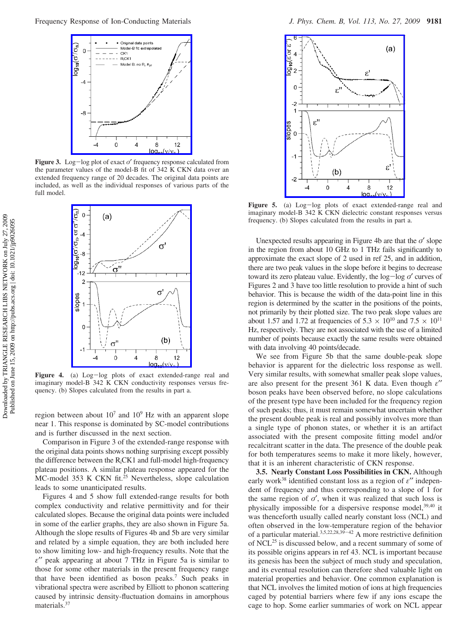

**Figure 3.** Log-log plot of exact *<sup>σ</sup>*′ frequency response calculated from the parameter values of the model-B fit of 342 K CKN data over an extended frequency range of 20 decades. The original data points are included, as well as the individual responses of various parts of the full model.



Figure 4. (a) Log-log plots of exact extended-range real and imaginary model-B 342 K CKN conductivity responses versus frequency. (b) Slopes calculated from the results in part a.

region between about  $10^7$  and  $10^9$  Hz with an apparent slope near 1. This response is dominated by SC-model contributions and is further discussed in the next section.

Comparison in Figure 3 of the extended-range response with the original data points shows nothing surprising except possibly the difference between the  $R_iCK1$  and full-model high-frequency plateau positions. A similar plateau response appeared for the MC-model 353 K CKN fit.<sup>25</sup> Nevertheless, slope calculation leads to some unanticipated results.

Figures 4 and 5 show full extended-range results for both complex conductivity and relative permittivity and for their calculated slopes. Because the original data points were included in some of the earlier graphs, they are also shown in Figure 5a. Although the slope results of Figures 4b and 5b are very similar and related by a simple equation, they are both included here to show limiting low- and high-frequency results. Note that the *ε*′′ peak appearing at about 7 THz in Figure 5a is similar to those for some other materials in the present frequency range that have been identified as boson peaks.7 Such peaks in vibrational spectra were ascribed by Elliott to phonon scattering caused by intrinsic density-fluctuation domains in amorphous materials.<sup>37</sup>



Figure 5. (a) Log-log plots of exact extended-range real and imaginary model-B 342 K CKN dielectric constant responses versus frequency. (b) Slopes calculated from the results in part a.

Unexpected results appearing in Figure 4b are that the *σ*′ slope in the region from about 10 GHz to 1 THz fails significantly to approximate the exact slope of 2 used in ref 25, and in addition, there are two peak values in the slope before it begins to decrease toward its zero plateau value. Evidently, the log-log *<sup>σ</sup>*′ curves of Figures 2 and 3 have too little resolution to provide a hint of such behavior. This is because the width of the data-point line in this region is determined by the scatter in the positions of the points, not primarily by their plotted size. The two peak slope values are about 1.57 and 1.72 at frequencies of  $5.3 \times 10^{10}$  and  $7.5 \times 10^{11}$ Hz, respectively. They are not associated with the use of a limited number of points because exactly the same results were obtained with data involving 40 points/decade.

We see from Figure 5b that the same double-peak slope behavior is apparent for the dielectric loss response as well. Very similar results, with somewhat smaller peak slope values, are also present for the present 361 K data. Even though *ε*′′ boson peaks have been observed before, no slope calculations of the present type have been included for the frequency region of such peaks; thus, it must remain somewhat uncertain whether the present double peak is real and possibly involves more than a single type of phonon states, or whether it is an artifact associated with the present composite fitting model and/or recalcitrant scatter in the data. The presence of the double peak for both temperatures seems to make it more likely, however, that it is an inherent characteristic of CKN response.

**3.5. Nearly Constant Loss Possibilities in CKN.** Although early work38 identified constant loss as a region of *ε*′′ independent of frequency and thus corresponding to a slope of 1 for the same region of  $\sigma'$ , when it was realized that such loss is physically impossible for a dispersive response model,  $39,40$  it was thenceforth usually called nearly constant loss (NCL) and often observed in the low-temperature region of the behavior of a particular material.<sup>3,5,22,28,39-42</sup> A more restrictive definition of NCL<sup>25</sup> is discussed below, and a recent summary of some of its possible origins appears in ref 43. NCL is important because its genesis has been the subject of much study and speculation, and its eventual resolution can therefore shed valuable light on material properties and behavior. One common explanation is that NCL involves the limited motion of ions at high frequencies caged by potential barriers where few if any ions escape the cage to hop. Some earlier summaries of work on NCL appear